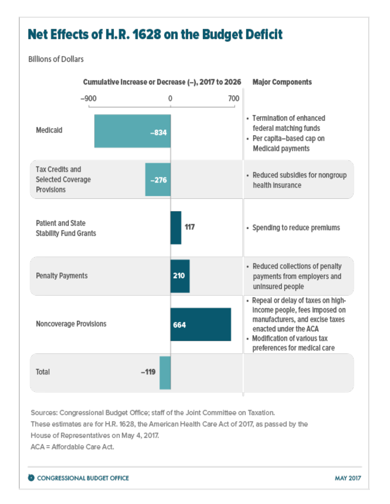## Net Effects of H.R. 1628 on the Budget Deficit

## **Billions of Dollars**



Sources: Congressional Budget Office; staff of the Joint Committee on Taxation.

These estimates are for H.R. 1628, the American Health Care Act of 2017, as passed by the

House of Representatives on May 4, 2017.

ACA = Affordable Care Act.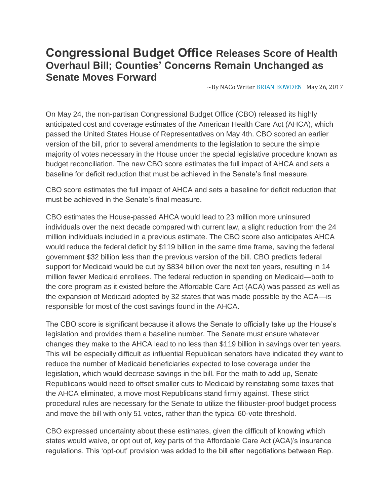## **Congressional Budget Office Releases Score of Health Overhaul Bill; Counties' Concerns Remain Unchanged as Senate Moves Forward**

 $\sim$ By NACo Writer BRIAN [BOWDEN](http://www.naco.org/people/brian-bowden) May 26, 2017

On May 24, the non-partisan Congressional Budget Office (CBO) released its highly anticipated cost and coverage estimates of the American Health Care Act (AHCA), which passed the United States House of Representatives on May 4th. CBO scored an earlier version of the bill, prior to several amendments to the legislation to secure the simple majority of votes necessary in the House under the special legislative procedure known as budget reconciliation. The new CBO score estimates the full impact of AHCA and sets a baseline for deficit reduction that must be achieved in the Senate's final measure.

CBO score estimates the full impact of AHCA and sets a baseline for deficit reduction that must be achieved in the Senate's final measure.

CBO estimates the House-passed AHCA would lead to 23 million more uninsured individuals over the next decade compared with current law, a slight reduction from the 24 million individuals included in a previous estimate. The CBO score also anticipates AHCA would reduce the federal deficit by \$119 billion in the same time frame, saving the federal government \$32 billion less than the previous version of the bill. CBO predicts federal support for Medicaid would be cut by \$834 billion over the next ten years, resulting in 14 million fewer Medicaid enrollees. The federal reduction in spending on Medicaid—both to the core program as it existed before the Affordable Care Act (ACA) was passed as well as the expansion of Medicaid adopted by 32 states that was made possible by the ACA—is responsible for most of the cost savings found in the AHCA.

The CBO score is significant because it allows the Senate to officially take up the House's legislation and provides them a baseline number. The Senate must ensure whatever changes they make to the AHCA lead to no less than \$119 billion in savings over ten years. This will be especially difficult as influential Republican senators have indicated they want to reduce the number of Medicaid beneficiaries expected to lose coverage under the legislation, which would decrease savings in the bill. For the math to add up, Senate Republicans would need to offset smaller cuts to Medicaid by reinstating some taxes that the AHCA eliminated, a move most Republicans stand firmly against. These strict procedural rules are necessary for the Senate to utilize the filibuster-proof budget process and move the bill with only 51 votes, rather than the typical 60-vote threshold.

CBO expressed uncertainty about these estimates, given the difficult of knowing which states would waive, or opt out of, key parts of the Affordable Care Act (ACA)'s insurance regulations. This 'opt-out' provision was added to the bill after negotiations between Rep.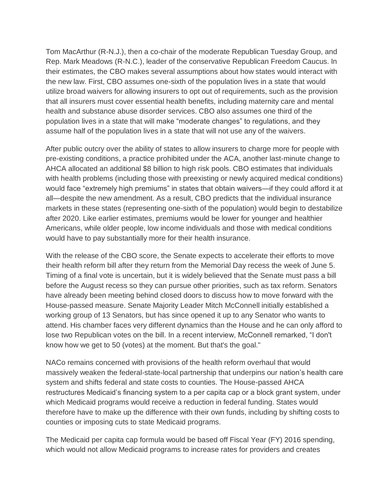Tom MacArthur (R-N.J.), then a co-chair of the moderate Republican Tuesday Group, and Rep. Mark Meadows (R-N.C.), leader of the conservative Republican Freedom Caucus. In their estimates, the CBO makes several assumptions about how states would interact with the new law. First, CBO assumes one-sixth of the population lives in a state that would utilize broad waivers for allowing insurers to opt out of requirements, such as the provision that all insurers must cover essential health benefits, including maternity care and mental health and substance abuse disorder services. CBO also assumes one third of the population lives in a state that will make "moderate changes" to regulations, and they assume half of the population lives in a state that will not use any of the waivers.

After public outcry over the ability of states to allow insurers to charge more for people with pre-existing conditions, a practice prohibited under the ACA, another last-minute change to AHCA allocated an additional \$8 billion to high risk pools. CBO estimates that individuals with health problems (including those with preexisting or newly acquired medical conditions) would face "extremely high premiums" in states that obtain waivers—if they could afford it at all—despite the new amendment. As a result, CBO predicts that the individual insurance markets in these states (representing one-sixth of the population) would begin to destabilize after 2020. Like earlier estimates, premiums would be lower for younger and healthier Americans, while older people, low income individuals and those with medical conditions would have to pay substantially more for their health insurance.

With the release of the CBO score, the Senate expects to accelerate their efforts to move their health reform bill after they return from the Memorial Day recess the week of June 5. Timing of a final vote is uncertain, but it is widely believed that the Senate must pass a bill before the August recess so they can pursue other priorities, such as tax reform. Senators have already been meeting behind closed doors to discuss how to move forward with the House-passed measure. Senate Majority Leader Mitch McConnell initially established a working group of 13 Senators, but has since opened it up to any Senator who wants to attend. His chamber faces very different dynamics than the House and he can only afford to lose two Republican votes on the bill. In a recent interview, McConnell remarked, "I don't know how we get to 50 (votes) at the moment. But that's the goal."

NACo remains concerned with provisions of the health reform overhaul that would massively weaken the federal-state-local partnership that underpins our nation's health care system and shifts federal and state costs to counties. The House-passed AHCA restructures Medicaid's financing system to a per capita cap or a block grant system, under which Medicaid programs would receive a reduction in federal funding. States would therefore have to make up the difference with their own funds, including by shifting costs to counties or imposing cuts to state Medicaid programs.

The Medicaid per capita cap formula would be based off Fiscal Year (FY) 2016 spending, which would not allow Medicaid programs to increase rates for providers and creates